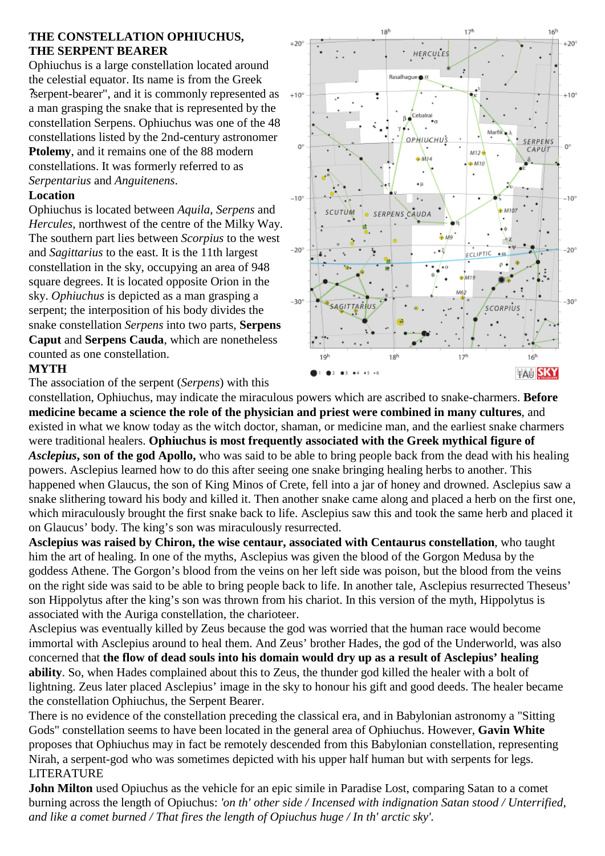# **THE CONSTELLATION OPHIUCHUS, THE SERPENT BEARER**

Ophiuchus is a large constellation located around the celestial equator. Its name is from the Greek ?serpent-bearer", and it is commonly represented as a man grasping the snake that is represented by the constellation Serpens. Ophiuchus was one of the 48 constellations listed by the 2nd-century astronomer **Ptolemy**, and it remains one of the 88 modern constellations. It was formerly referred to as *Serpentarius* and *Anguitenens*.

# **Location**

Ophiuchus is located between *Aquila*, *Serpens* and *Hercules*, northwest of the centre of the Milky Way. The southern part lies between *Scorpius* to the west and *Sagittarius* to the east. It is the 11th largest constellation in the sky, occupying an area of 948 square degrees. It is located opposite Orion in the sky. *Ophiuchus* is depicted as a man grasping a serpent; the interposition of his body divides the snake constellation *Serpens* into two parts, **Serpens Caput** and **Serpens Cauda**, which are nonetheless counted as one constellation.

### **MYTH**

The association of the serpent (*Serpens*) with this



 $17<sup>h</sup>$ 

16Ì

1RÌ

constellation, Ophiuchus, may indicate the miraculous powers which are ascribed to snake-charmers. **Before medicine became a science the role of the physician and priest were combined in many cultures**, and existed in what we know today as the witch doctor, shaman, or medicine man, and the earliest snake charmers were traditional healers. **Ophiuchus is most frequently associated with the Greek mythical figure of** *Asclepius***, son of the god Apollo,** who was said to be able to bring people back from the dead with his healing powers. Asclepius learned how to do this after seeing one snake bringing healing herbs to another. This happened when Glaucus, the son of King Minos of Crete, fell into a jar of honey and drowned. Asclepius saw a snake slithering toward his body and killed it. Then another snake came along and placed a herb on the first one, which miraculously brought the first snake back to life. Asclepius saw this and took the same herb and placed it on Glaucus' body. The king's son was miraculously resurrected.

**Asclepius was raised by Chiron, the wise centaur, associated with Centaurus constellation**, who taught him the art of healing. In one of the myths, Asclepius was given the blood of the Gorgon Medusa by the goddess Athene. The Gorgon's blood from the veins on her left side was poison, but the blood from the veins on the right side was said to be able to bring people back to life. In another tale, Asclepius resurrected Theseus' son Hippolytus after the king's son was thrown from his chariot. In this version of the myth, Hippolytus is associated with the Auriga constellation, the charioteer.

Asclepius was eventually killed by Zeus because the god was worried that the human race would become immortal with Asclepius around to heal them. And Zeus' brother Hades, the god of the Underworld, was also concerned that **the flow of dead souls into his domain would dry up as a result of Asclepius' healing ability**. So, when Hades complained about this to Zeus, the thunder god killed the healer with a bolt of lightning. Zeus later placed Asclepius' image in the sky to honour his gift and good deeds. The healer became the constellation Ophiuchus, the Serpent Bearer.

There is no evidence of the constellation preceding the classical era, and in Babylonian astronomy a "Sitting Gods" constellation seems to have been located in the general area of Ophiuchus. However, **Gavin White** proposes that Ophiuchus may in fact be remotely descended from this Babylonian constellation, representing Nirah, a serpent-god who was sometimes depicted with his upper half human but with serpents for legs. LITERATURE

**John Milton** used Opiuchus as the vehicle for an epic simile in Paradise Lost, comparing Satan to a comet burning across the length of Opiuchus: *'on th' other side / Incensed with indignation Satan stood / Unterrified, and like a comet burned / That fires the length of Opiuchus huge / In th' arctic sky'.*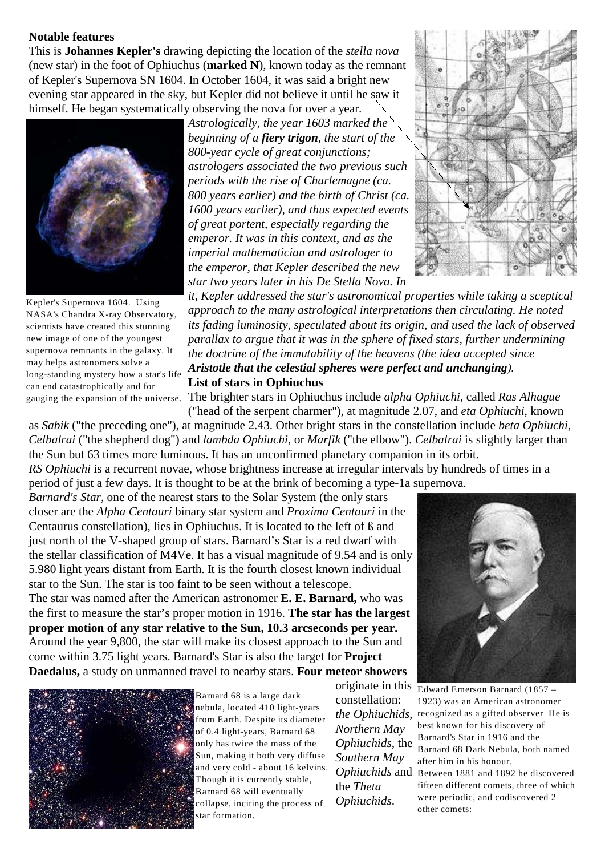#### **Notable features**

This is **Johannes Kepler's** drawing depicting the location of the *stella nova* (new star) in the foot of Ophiuchus (**marked N**), known today as the remnant of Kepler's Supernova SN 1604. In October 1604, it was said a bright new evening star appeared in the sky, but Kepler did not believe it until he saw it himself. He began systematically observing the nova for over a year.



Kepler's Supernova 1604. Using NASA's Chandra X-ray Observatory, scientists have created this stunning new image of one of the youngest supernova remnants in the galaxy. It may helps astronomers solve a long-standing mystery how a star's life can end catastrophically and for

*Astrologically, the year 1603 marked the beginning of a fiery trigon, the start of the 800-year cycle of great conjunctions; astrologers associated the two previous such periods with the rise of Charlemagne (ca. 800 years earlier) and the birth of Christ (ca. 1600 years earlier), and thus expected events of great portent, especially regarding the emperor. It was in this context, and as the imperial mathematician and astrologer to the emperor, that Kepler described the new star two years later in his De Stella Nova. In*



*it, Kepler addressed the star's astronomical properties while taking a sceptical approach to the many astrological interpretations then circulating. He noted its fading luminosity, speculated about its origin, and used the lack of observed parallax to argue that it was in the sphere of fixed stars, further undermining the doctrine of the immutability of the heavens (the idea accepted since Aristotle that the celestial spheres were perfect and unchanging).* **List of stars in Ophiuchus**

gauging the expansion of the universe. The brighter stars in Ophiuchus include *alpha Ophiuchi*, called *Ras Alhague* 

("head of the serpent charmer"), at magnitude 2.07, and *eta Ophiuchi*, known as *Sabik* ("the preceding one"), at magnitude 2.43. Other bright stars in the constellation include *beta Ophiuchi*, *Celbalrai* ("the shepherd dog") and *lambda Ophiuchi*, or *Marfik* ("the elbow"). *Celbalrai* is slightly larger than the Sun but 63 times more luminous. It has an unconfirmed planetary companion in its orbit.

*RS Ophiuchi* is a recurrent novae, whose brightness increase at irregular intervals by hundreds of times in a period of just a few days. It is thought to be at the brink of becoming a type-1a supernova.

*Barnard's Star,* one of the nearest stars to the Solar System (the only stars closer are the *Alpha Centauri* binary star system and *Proxima Centauri* in the Centaurus constellation), lies in Ophiuchus. It is located to the left of ß and just north of the V-shaped group of stars. Barnard's Star is a red dwarf with the stellar classification of M4Ve. It has a visual magnitude of 9.54 and is only 5.980 light years distant from Earth. It is the fourth closest known individual star to the Sun. The star is too faint to be seen without a telescope.

The star was named after the American astronomer **E. E. Barnard,** who was the first to measure the star's proper motion in 1916. **The star has the largest proper motion of any star relative to the Sun, 10.3 arcseconds per year.** Around the year 9,800, the star will make its closest approach to the Sun and come within 3.75 light years. Barnard's Star is also the target for **Project Daedalus,** a study on unmanned travel to nearby stars. **Four meteor showers**



Barnard 68 is a large dark nebula, located 410 light-years from Earth. Despite its diameter of 0.4 light-years, Barnard 68 only has twice the mass of the Sun, making it both very diffuse and very cold - about 16 kelvins. Though it is currently stable, Barnard 68 will eventually collapse, inciting the process of star formation.

constellation: *Northern May Ophiuchids*, the *Southern May* the *Theta Ophiuchids*.



originate in this Edward Emerson Barnard (1857 – *the Ophiuchids*, recognized as a gifted observer He is *Ophiuchids* and Between 1881 and 1892 he discovered 1923) was an American astronomer best known for his discovery of Barnard's Star in 1916 and the Barnard 68 Dark Nebula, both named after him in his honour. fifteen different comets, three of which were periodic, and codiscovered 2 other comets: